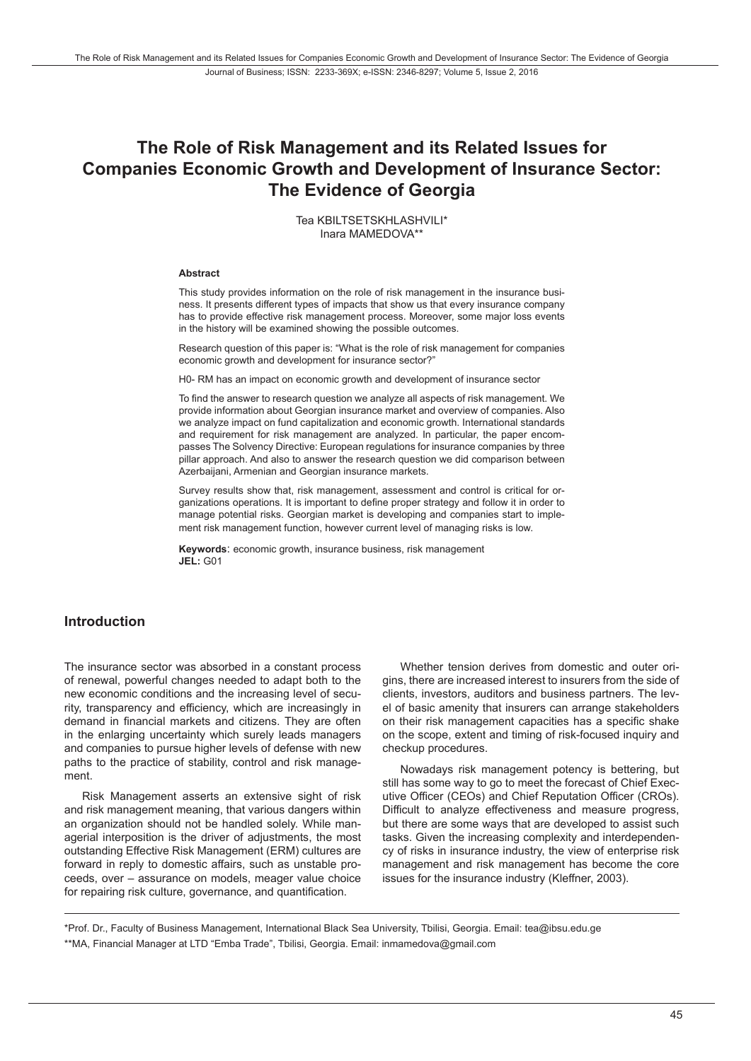# **The Role of Risk Management and its Related Issues for Companies Economic Growth and Development of Insurance Sector: The Evidence of Georgia**

Tea KBILTSETSKHLASHVILI\* Inara MAMEDOVA\*\*

#### **Abstract**

This study provides information on the role of risk management in the insurance business. It presents different types of impacts that show us that every insurance company has to provide effective risk management process. Moreover, some major loss events in the history will be examined showing the possible outcomes.

Research question of this paper is: "What is the role of risk management for companies economic growth and development for insurance sector?"

H0- RM has an impact on economic growth and development of insurance sector

To find the answer to research question we analyze all aspects of risk management. We provide information about Georgian insurance market and overview of companies. Also we analyze impact on fund capitalization and economic growth. International standards and requirement for risk management are analyzed. In particular, the paper encompasses The Solvency Directive: European regulations for insurance companies by three pillar approach. And also to answer the research question we did comparison between Azerbaijani, Armenian and Georgian insurance markets.

Survey results show that, risk management, assessment and control is critical for organizations operations. It is important to define proper strategy and follow it in order to manage potential risks. Georgian market is developing and companies start to implement risk management function, however current level of managing risks is low.

**Keywords**: economic growth, insurance business, risk management **JEL:** G01

#### **Introduction**

The insurance sector was absorbed in a constant process of renewal, powerful changes needed to adapt both to the new economic conditions and the increasing level of security, transparency and efficiency, which are increasingly in demand in financial markets and citizens. They are often in the enlarging uncertainty which surely leads managers and companies to pursue higher levels of defense with new paths to the practice of stability, control and risk management.

Risk Management asserts an extensive sight of risk and risk management meaning, that various dangers within an organization should not be handled solely. While managerial interposition is the driver of adjustments, the most outstanding Effective Risk Management (ERM) cultures are forward in reply to domestic affairs, such as unstable proceeds, over – assurance on models, meager value choice for repairing risk culture, governance, and quantification.

Whether tension derives from domestic and outer origins, there are increased interest to insurers from the side of clients, investors, auditors and business partners. The level of basic amenity that insurers can arrange stakeholders on their risk management capacities has a specific shake on the scope, extent and timing of risk-focused inquiry and checkup procedures.

Nowadays risk management potency is bettering, but still has some way to go to meet the forecast of Chief Executive Officer (CEOs) and Chief Reputation Officer (CROs). Difficult to analyze effectiveness and measure progress, but there are some ways that are developed to assist such tasks. Given the increasing complexity and interdependency of risks in insurance industry, the view of enterprise risk management and risk management has become the core issues for the insurance industry (Kleffner, 2003).

\*Prof. Dr., Faculty of Business Management, International Black Sea University, Tbilisi, Georgia. Email: tea@ibsu.edu.ge \*\*MA, Financial Manager at LTD "Emba Trade", Tbilisi, Georgia. Email: inmamedova@gmail.com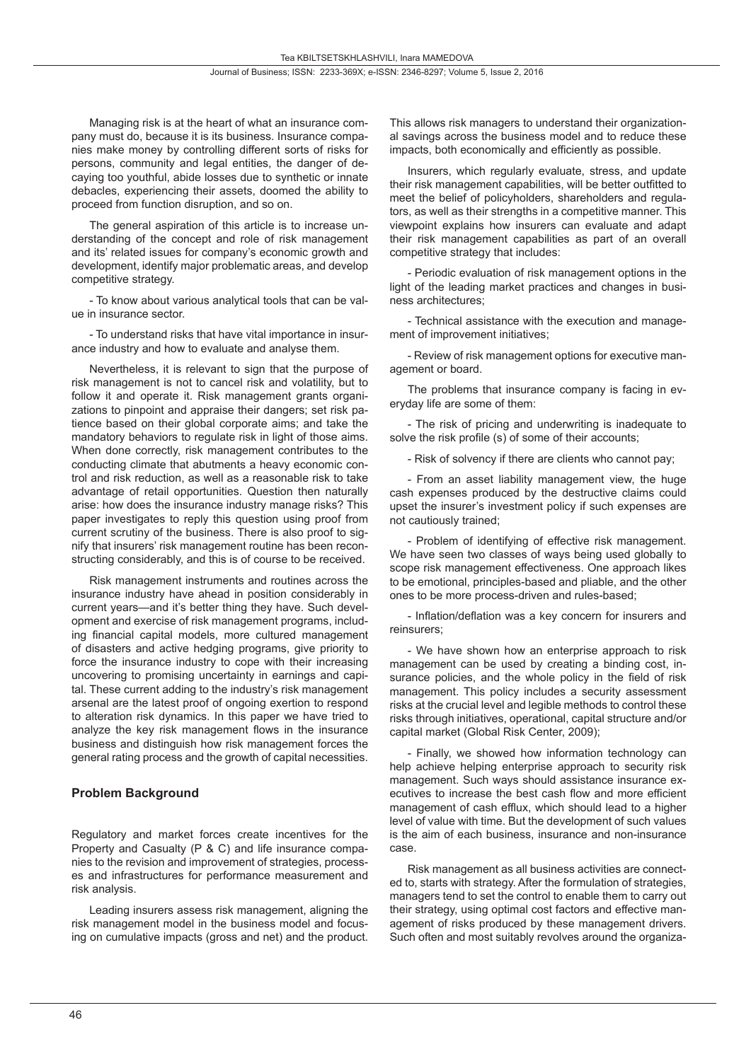Managing risk is at the heart of what an insurance company must do, because it is its business. Insurance companies make money by controlling different sorts of risks for persons, community and legal entities, the danger of decaying too youthful, abide losses due to synthetic or innate debacles, experiencing their assets, doomed the ability to proceed from function disruption, and so on.

The general aspiration of this article is to increase understanding of the concept and role of risk management and its' related issues for company's economic growth and development, identify major problematic areas, and develop competitive strategy.

- To know about various analytical tools that can be value in insurance sector.

- To understand risks that have vital importance in insurance industry and how to evaluate and analyse them.

Nevertheless, it is relevant to sign that the purpose of risk management is not to cancel risk and volatility, but to follow it and operate it. Risk management grants organizations to pinpoint and appraise their dangers; set risk patience based on their global corporate aims; and take the mandatory behaviors to regulate risk in light of those aims. When done correctly, risk management contributes to the conducting climate that abutments a heavy economic control and risk reduction, as well as a reasonable risk to take advantage of retail opportunities. Question then naturally arise: how does the insurance industry manage risks? This paper investigates to reply this question using proof from current scrutiny of the business. There is also proof to signify that insurers' risk management routine has been reconstructing considerably, and this is of course to be received.

Risk management instruments and routines across the insurance industry have ahead in position considerably in current years—and it's better thing they have. Such development and exercise of risk management programs, including financial capital models, more cultured management of disasters and active hedging programs, give priority to force the insurance industry to cope with their increasing uncovering to promising uncertainty in earnings and capital. These current adding to the industry's risk management arsenal are the latest proof of ongoing exertion to respond to alteration risk dynamics. In this paper we have tried to analyze the key risk management flows in the insurance business and distinguish how risk management forces the general rating process and the growth of capital necessities.

### **Problem Background**

Regulatory and market forces create incentives for the Property and Casualty (P & C) and life insurance companies to the revision and improvement of strategies, processes and infrastructures for performance measurement and risk analysis.

Leading insurers assess risk management, aligning the risk management model in the business model and focusing on cumulative impacts (gross and net) and the product. This allows risk managers to understand their organizational savings across the business model and to reduce these impacts, both economically and efficiently as possible.

Insurers, which regularly evaluate, stress, and update their risk management capabilities, will be better outfitted to meet the belief of policyholders, shareholders and regulators, as well as their strengths in a competitive manner. This viewpoint explains how insurers can evaluate and adapt their risk management capabilities as part of an overall competitive strategy that includes:

- Periodic evaluation of risk management options in the light of the leading market practices and changes in business architectures;

- Technical assistance with the execution and management of improvement initiatives;

- Review of risk management options for executive management or board.

The problems that insurance company is facing in everyday life are some of them:

- The risk of pricing and underwriting is inadequate to solve the risk profile (s) of some of their accounts;

- Risk of solvency if there are clients who cannot pay;

- From an asset liability management view, the huge cash expenses produced by the destructive claims could upset the insurer's investment policy if such expenses are not cautiously trained;

- Problem of identifying of effective risk management. We have seen two classes of ways being used globally to scope risk management effectiveness. One approach likes to be emotional, principles-based and pliable, and the other ones to be more process-driven and rules-based;

- Inflation/deflation was a key concern for insurers and reinsurers;

- We have shown how an enterprise approach to risk management can be used by creating a binding cost, insurance policies, and the whole policy in the field of risk management. This policy includes a security assessment risks at the crucial level and legible methods to control these risks through initiatives, operational, capital structure and/or capital market (Global Risk Center, 2009);

- Finally, we showed how information technology can help achieve helping enterprise approach to security risk management. Such ways should assistance insurance executives to increase the best cash flow and more efficient management of cash efflux, which should lead to a higher level of value with time. But the development of such values is the aim of each business, insurance and non-insurance case.

Risk management as all business activities are connected to, starts with strategy. After the formulation of strategies, managers tend to set the control to enable them to carry out their strategy, using optimal cost factors and effective management of risks produced by these management drivers. Such often and most suitably revolves around the organiza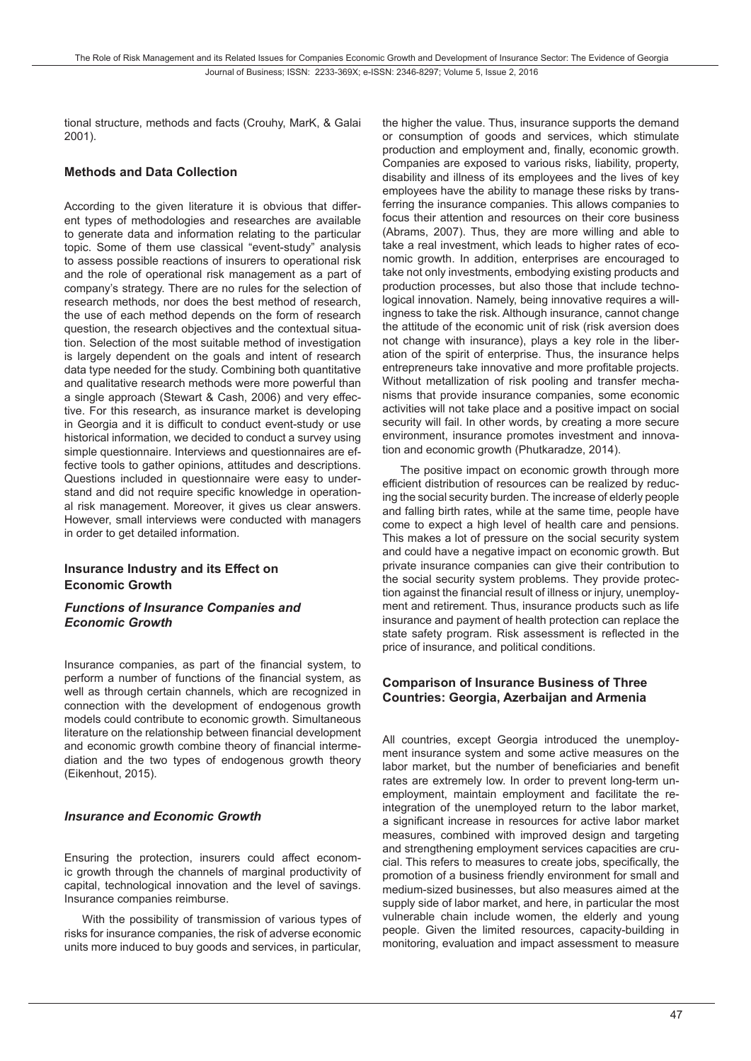tional structure, methods and facts (Crouhy, MarK, & Galai 2001).

#### **Methods and Data Collection**

According to the given literature it is obvious that different types of methodologies and researches are available to generate data and information relating to the particular topic. Some of them use classical "event-study" analysis to assess possible reactions of insurers to operational risk and the role of operational risk management as a part of company's strategy. There are no rules for the selection of research methods, nor does the best method of research, the use of each method depends on the form of research question, the research objectives and the contextual situation. Selection of the most suitable method of investigation is largely dependent on the goals and intent of research data type needed for the study. Combining both quantitative and qualitative research methods were more powerful than a single approach (Stewart & Cash, 2006) and very effective. For this research, as insurance market is developing in Georgia and it is difficult to conduct event-study or use historical information, we decided to conduct a survey using simple questionnaire. Interviews and questionnaires are effective tools to gather opinions, attitudes and descriptions. Questions included in questionnaire were easy to understand and did not require specific knowledge in operational risk management. Moreover, it gives us clear answers. However, small interviews were conducted with managers in order to get detailed information.

#### **Insurance Industry and its Effect on Economic Growth**

#### *Functions of Insurance Companies and Economic Growth*

Insurance companies, as part of the financial system, to perform a number of functions of the financial system, as well as through certain channels, which are recognized in connection with the development of endogenous growth models could contribute to economic growth. Simultaneous literature on the relationship between financial development and economic growth combine theory of financial intermediation and the two types of endogenous growth theory (Eikenhout, 2015).

#### *Insurance and Economic Growth*

Ensuring the protection, insurers could affect economic growth through the channels of marginal productivity of capital, technological innovation and the level of savings. Insurance companies reimburse.

With the possibility of transmission of various types of risks for insurance companies, the risk of adverse economic units more induced to buy goods and services, in particular, the higher the value. Thus, insurance supports the demand or consumption of goods and services, which stimulate production and employment and, finally, economic growth. Companies are exposed to various risks, liability, property, disability and illness of its employees and the lives of key employees have the ability to manage these risks by transferring the insurance companies. This allows companies to focus their attention and resources on their core business (Abrams, 2007). Thus, they are more willing and able to take a real investment, which leads to higher rates of economic growth. In addition, enterprises are encouraged to take not only investments, embodying existing products and production processes, but also those that include technological innovation. Namely, being innovative requires a willingness to take the risk. Although insurance, cannot change the attitude of the economic unit of risk (risk aversion does not change with insurance), plays a key role in the liberation of the spirit of enterprise. Thus, the insurance helps entrepreneurs take innovative and more profitable projects. Without metallization of risk pooling and transfer mechanisms that provide insurance companies, some economic activities will not take place and a positive impact on social security will fail. In other words, by creating a more secure environment, insurance promotes investment and innovation and economic growth (Phutkaradze, 2014).

The positive impact on economic growth through more efficient distribution of resources can be realized by reducing the social security burden. The increase of elderly people and falling birth rates, while at the same time, people have come to expect a high level of health care and pensions. This makes a lot of pressure on the social security system and could have a negative impact on economic growth. But private insurance companies can give their contribution to the social security system problems. They provide protection against the financial result of illness or injury, unemployment and retirement. Thus, insurance products such as life insurance and payment of health protection can replace the state safety program. Risk assessment is reflected in the price of insurance, and political conditions.

#### **Comparison of Insurance Business of Three Countries: Georgia, Azerbaijan and Armenia**

All countries, except Georgia introduced the unemployment insurance system and some active measures on the labor market, but the number of beneficiaries and benefit rates are extremely low. In order to prevent long-term unemployment, maintain employment and facilitate the reintegration of the unemployed return to the labor market, a significant increase in resources for active labor market measures, combined with improved design and targeting and strengthening employment services capacities are crucial. This refers to measures to create jobs, specifically, the promotion of a business friendly environment for small and medium-sized businesses, but also measures aimed at the supply side of labor market, and here, in particular the most vulnerable chain include women, the elderly and young people. Given the limited resources, capacity-building in monitoring, evaluation and impact assessment to measure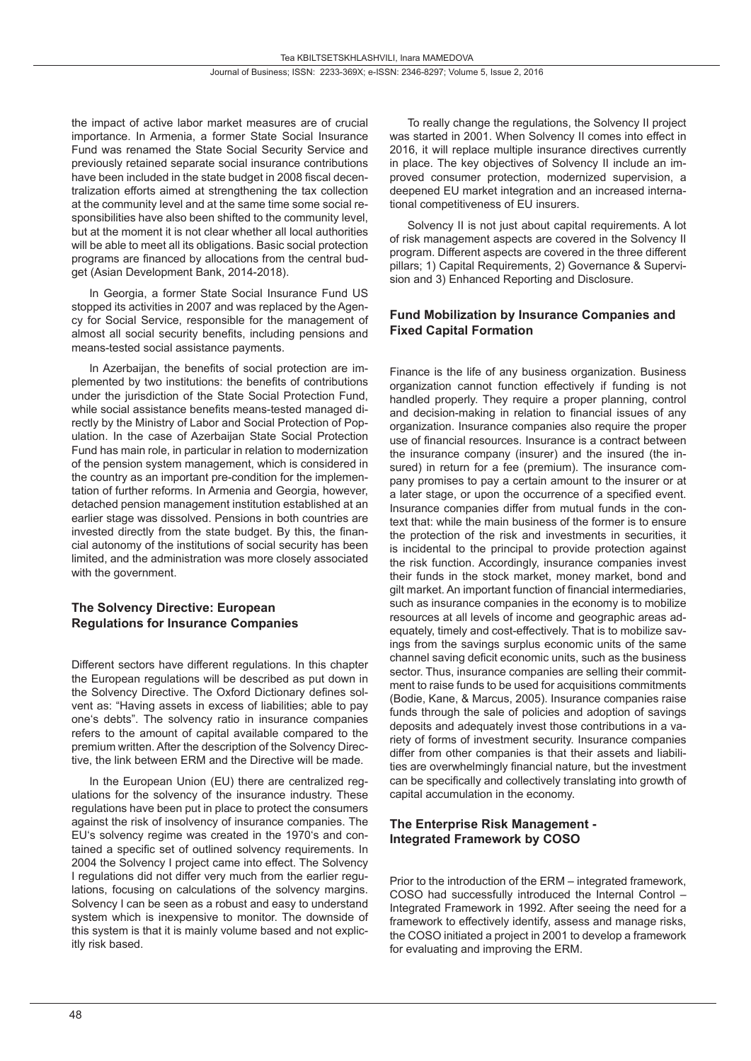the impact of active labor market measures are of crucial importance. In Armenia, a former State Social Insurance Fund was renamed the State Social Security Service and previously retained separate social insurance contributions have been included in the state budget in 2008 fiscal decentralization efforts aimed at strengthening the tax collection at the community level and at the same time some social responsibilities have also been shifted to the community level, but at the moment it is not clear whether all local authorities will be able to meet all its obligations. Basic social protection programs are financed by allocations from the central budget (Asian Development Bank, 2014-2018).

In Georgia, a former State Social Insurance Fund US stopped its activities in 2007 and was replaced by the Agency for Social Service, responsible for the management of almost all social security benefits, including pensions and means-tested social assistance payments.

In Azerbaijan, the benefits of social protection are implemented by two institutions: the benefits of contributions under the jurisdiction of the State Social Protection Fund, while social assistance benefits means-tested managed directly by the Ministry of Labor and Social Protection of Population. In the case of Azerbaijan State Social Protection Fund has main role, in particular in relation to modernization of the pension system management, which is considered in the country as an important pre-condition for the implementation of further reforms. In Armenia and Georgia, however, detached pension management institution established at an earlier stage was dissolved. Pensions in both countries are invested directly from the state budget. By this, the financial autonomy of the institutions of social security has been limited, and the administration was more closely associated with the government.

### **The Solvency Directive: European Regulations for Insurance Companies**

Different sectors have different regulations. In this chapter the European regulations will be described as put down in the Solvency Directive. The Oxford Dictionary defines solvent as: "Having assets in excess of liabilities; able to pay one's debts". The solvency ratio in insurance companies refers to the amount of capital available compared to the premium written. After the description of the Solvency Directive, the link between ERM and the Directive will be made.

In the European Union (EU) there are centralized requlations for the solvency of the insurance industry. These regulations have been put in place to protect the consumers against the risk of insolvency of insurance companies. The EU's solvency regime was created in the 1970's and contained a specific set of outlined solvency requirements. In 2004 the Solvency I project came into effect. The Solvency I regulations did not differ very much from the earlier regulations, focusing on calculations of the solvency margins. Solvency I can be seen as a robust and easy to understand system which is inexpensive to monitor. The downside of this system is that it is mainly volume based and not explicitly risk based.

To really change the regulations, the Solvency II project was started in 2001. When Solvency II comes into effect in 2016, it will replace multiple insurance directives currently in place. The key objectives of Solvency II include an improved consumer protection, modernized supervision, a deepened EU market integration and an increased international competitiveness of EU insurers.

Solvency II is not just about capital requirements. A lot of risk management aspects are covered in the Solvency II program. Different aspects are covered in the three different pillars; 1) Capital Requirements, 2) Governance & Supervision and 3) Enhanced Reporting and Disclosure.

### **Fund Mobilization by Insurance Companies and Fixed Capital Formation**

Finance is the life of any business organization. Business organization cannot function effectively if funding is not handled properly. They require a proper planning, control and decision-making in relation to financial issues of any organization. Insurance companies also require the proper use of financial resources. Insurance is a contract between the insurance company (insurer) and the insured (the insured) in return for a fee (premium). The insurance company promises to pay a certain amount to the insurer or at a later stage, or upon the occurrence of a specified event. Insurance companies differ from mutual funds in the context that: while the main business of the former is to ensure the protection of the risk and investments in securities, it is incidental to the principal to provide protection against the risk function. Accordingly, insurance companies invest their funds in the stock market, money market, bond and gilt market. An important function of financial intermediaries, such as insurance companies in the economy is to mobilize resources at all levels of income and geographic areas adequately, timely and cost-effectively. That is to mobilize savings from the savings surplus economic units of the same channel saving deficit economic units, such as the business sector. Thus, insurance companies are selling their commitment to raise funds to be used for acquisitions commitments (Bodie, Kane, & Marcus, 2005). Insurance companies raise funds through the sale of policies and adoption of savings deposits and adequately invest those contributions in a variety of forms of investment security. Insurance companies differ from other companies is that their assets and liabilities are overwhelmingly financial nature, but the investment can be specifically and collectively translating into growth of capital accumulation in the economy.

### **The Enterprise Risk Management - Integrated Framework by COSO**

Prior to the introduction of the ERM – integrated framework, COSO had successfully introduced the Internal Control – Integrated Framework in 1992. After seeing the need for a framework to effectively identify, assess and manage risks, the COSO initiated a project in 2001 to develop a framework for evaluating and improving the ERM.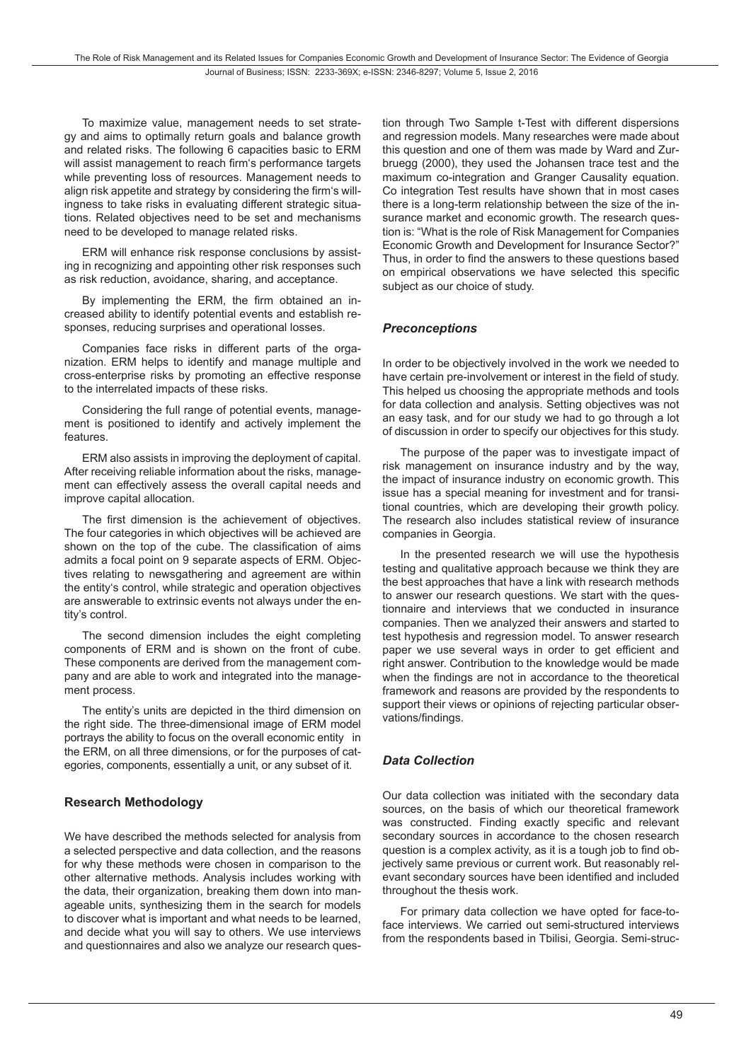To maximize value, management needs to set strategy and aims to optimally return goals and balance growth and related risks. The following 6 capacities basic to ERM will assist management to reach firm's performance targets while preventing loss of resources. Management needs to align risk appetite and strategy by considering the firm's willingness to take risks in evaluating different strategic situations. Related objectives need to be set and mechanisms need to be developed to manage related risks.

ERM will enhance risk response conclusions by assisting in recognizing and appointing other risk responses such as risk reduction, avoidance, sharing, and acceptance.

By implementing the ERM, the firm obtained an increased ability to identify potential events and establish responses, reducing surprises and operational losses.

Companies face risks in different parts of the organization. ERM helps to identify and manage multiple and cross-enterprise risks by promoting an effective response to the interrelated impacts of these risks.

Considering the full range of potential events, management is positioned to identify and actively implement the features.

ERM also assists in improving the deployment of capital. After receiving reliable information about the risks, management can effectively assess the overall capital needs and improve capital allocation.

The first dimension is the achievement of objectives. The four categories in which objectives will be achieved are shown on the top of the cube. The classification of aims admits a focal point on 9 separate aspects of ERM. Objectives relating to newsgathering and agreement are within the entity's control, while strategic and operation objectives are answerable to extrinsic events not always under the entity's control.

The second dimension includes the eight completing components of ERM and is shown on the front of cube. These components are derived from the management company and are able to work and integrated into the management process.

The entity's units are depicted in the third dimension on the right side. The three-dimensional image of ERM model portrays the ability to focus on the overall economic entity in the ERM, on all three dimensions, or for the purposes of categories, components, essentially a unit, or any subset of it.

### **Research Methodology**

We have described the methods selected for analysis from a selected perspective and data collection, and the reasons for why these methods were chosen in comparison to the other alternative methods. Analysis includes working with the data, their organization, breaking them down into manageable units, synthesizing them in the search for models to discover what is important and what needs to be learned, and decide what you will say to others. We use interviews and questionnaires and also we analyze our research question through Two Sample t-Test with different dispersions and regression models. Many researches were made about this question and one of them was made by Ward and Zurbruegg (2000), they used the Johansen trace test and the maximum co-integration and Granger Causality equation. Co integration Test results have shown that in most cases there is a long-term relationship between the size of the insurance market and economic growth. The research question is: "What is the role of Risk Management for Companies Economic Growth and Development for Insurance Sector?" Thus, in order to find the answers to these questions based on empirical observations we have selected this specific subject as our choice of study.

#### *Preconceptions*

In order to be objectively involved in the work we needed to have certain pre-involvement or interest in the field of study. This helped us choosing the appropriate methods and tools for data collection and analysis. Setting objectives was not an easy task, and for our study we had to go through a lot of discussion in order to specify our objectives for this study.

The purpose of the paper was to investigate impact of risk management on insurance industry and by the way, the impact of insurance industry on economic growth. This issue has a special meaning for investment and for transitional countries, which are developing their growth policy. The research also includes statistical review of insurance companies in Georgia.

In the presented research we will use the hypothesis testing and qualitative approach because we think they are the best approaches that have a link with research methods to answer our research questions. We start with the questionnaire and interviews that we conducted in insurance companies. Then we analyzed their answers and started to test hypothesis and regression model. To answer research paper we use several ways in order to get efficient and right answer. Contribution to the knowledge would be made when the findings are not in accordance to the theoretical framework and reasons are provided by the respondents to support their views or opinions of rejecting particular observations/findings.

### *Data Collection*

Our data collection was initiated with the secondary data sources, on the basis of which our theoretical framework was constructed. Finding exactly specific and relevant secondary sources in accordance to the chosen research question is a complex activity, as it is a tough job to find objectively same previous or current work. But reasonably relevant secondary sources have been identified and included throughout the thesis work.

For primary data collection we have opted for face-toface interviews. We carried out semi-structured interviews from the respondents based in Tbilisi, Georgia. Semi-struc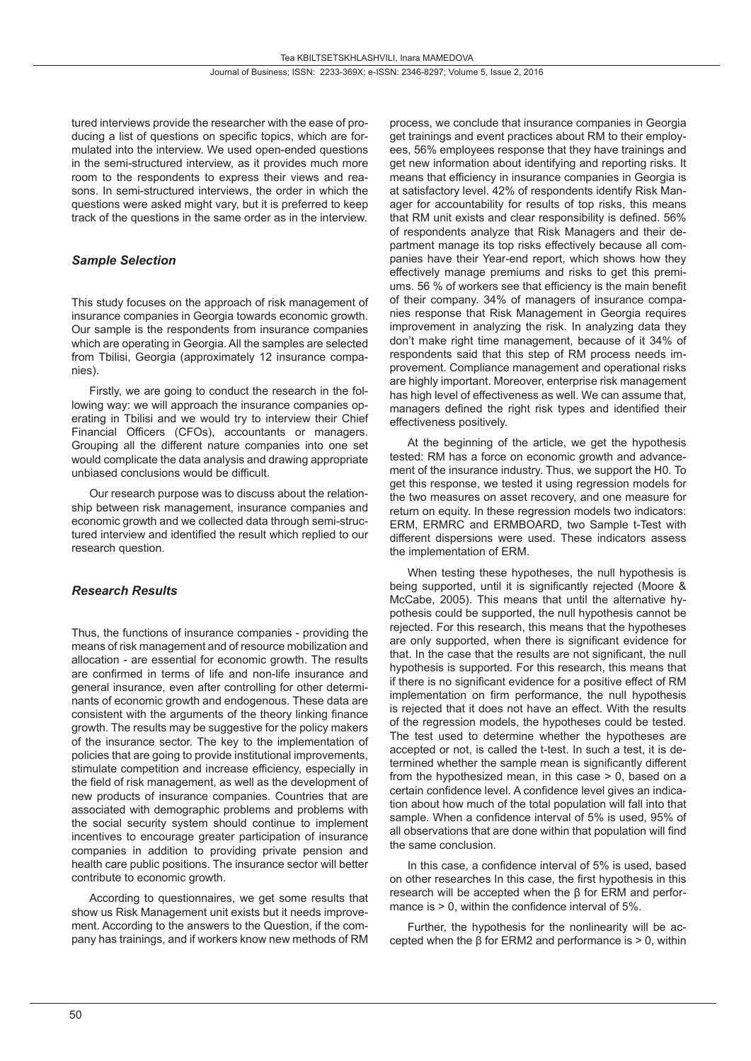tured interviews provide the researcher with the ease of producing a list of questions on specific topics, which are formulated into the interview. We used open-ended questions in the semi-structured interview, as it provides much more room to the respondents to express their views and reasons. In semi-structured interviews, the order in which the questions were asked might vary, but it is preferred to keep track of the questions in the same order as in the interview.

### *Sample Selection*

This study focuses on the approach of risk management of insurance companies in Georgia towards economic growth. Our sample is the respondents from insurance companies which are operating in Georgia. All the samples are selected from Tbilisi, Georgia (approximately 12 insurance companies).

Firstly, we are going to conduct the research in the following way: we will approach the insurance companies operating in Tbilisi and we would try to interview their Chief Financial Officers (CFOs), accountants or managers. Grouping all the different nature companies into one set would complicate the data analysis and drawing appropriate unbiased conclusions would be difficult.

Our research purpose was to discuss about the relationship between risk management, insurance companies and economic growth and we collected data through semi-structured interview and identified the result which replied to our research question.

### *Research Results*

Thus, the functions of insurance companies - providing the means of risk management and of resource mobilization and allocation - are essential for economic growth. The results are confirmed in terms of life and non-life insurance and general insurance, even after controlling for other determinants of economic growth and endogenous. These data are consistent with the arguments of the theory linking finance growth. The results may be suggestive for the policy makers of the insurance sector. The key to the implementation of policies that are going to provide institutional improvements, stimulate competition and increase efficiency, especially in the field of risk management, as well as the development of new products of insurance companies. Countries that are associated with demographic problems and problems with the social security system should continue to implement incentives to encourage greater participation of insurance companies in addition to providing private pension and health care public positions. The insurance sector will better contribute to economic growth.

According to questionnaires, we get some results that show us Risk Management unit exists but it needs improvement. According to the answers to the Question, if the company has trainings, and if workers know new methods of RM process, we conclude that insurance companies in Georgia get trainings and event practices about RM to their employees, 56% employees response that they have trainings and get new information about identifying and reporting risks. It means that efficiency in insurance companies in Georgia is at satisfactory level. 42% of respondents identify Risk Manager for accountability for results of top risks, this means that RM unit exists and clear responsibility is defined. 56% of respondents analyze that Risk Managers and their department manage its top risks effectively because all companies have their Year-end report, which shows how they effectively manage premiums and risks to get this premiums. 56 % of workers see that efficiency is the main benefit of their company. 34% of managers of insurance companies response that Risk Management in Georgia requires improvement in analyzing the risk. In analyzing data they don't make right time management, because of it 34% of respondents said that this step of RM process needs improvement. Compliance management and operational risks are highly important. Moreover, enterprise risk management has high level of effectiveness as well. We can assume that, managers defined the right risk types and identified their effectiveness positively.

At the beginning of the article, we get the hypothesis tested: RM has a force on economic growth and advancement of the insurance industry. Thus, we support the H0. To get this response, we tested it using regression models for the two measures on asset recovery, and one measure for return on equity. In these regression models two indicators: ERM, ERMRC and ERMBOARD, two Sample t-Test with different dispersions were used. These indicators assess the implementation of ERM.

When testing these hypotheses, the null hypothesis is being supported, until it is significantly rejected (Moore & McCabe, 2005). This means that until the alternative hypothesis could be supported, the null hypothesis cannot be rejected. For this research, this means that the hypotheses are only supported, when there is significant evidence for that. In the case that the results are not significant, the null hypothesis is supported. For this research, this means that if there is no significant evidence for a positive effect of RM implementation on firm performance, the null hypothesis is rejected that it does not have an effect. With the results of the regression models, the hypotheses could be tested. The test used to determine whether the hypotheses are accepted or not, is called the t-test. In such a test, it is determined whether the sample mean is significantly different from the hypothesized mean, in this case > 0, based on a certain confidence level. A confidence level gives an indication about how much of the total population will fall into that sample. When a confidence interval of 5% is used, 95% of all observations that are done within that population will find the same conclusion.

In this case, a confidence interval of 5% is used, based on other researches In this case, the first hypothesis in this research will be accepted when the β for ERM and performance is  $> 0$ , within the confidence interval of 5%.

Further, the hypothesis for the nonlinearity will be accepted when the β for ERM2 and performance is  $> 0$ , within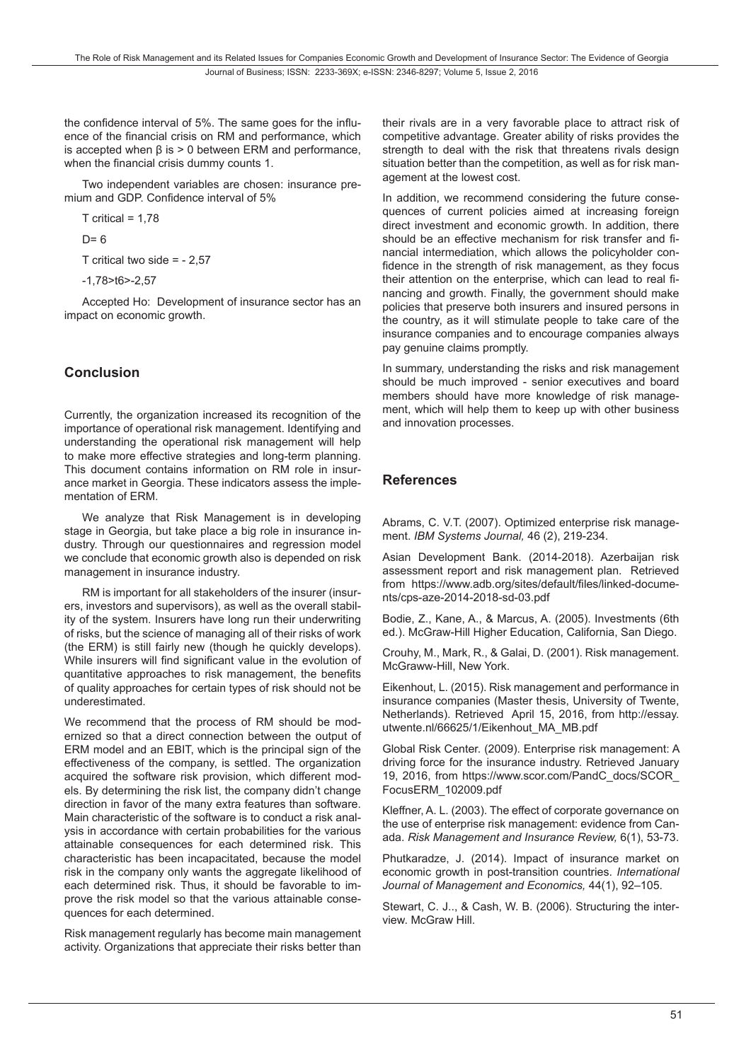the confidence interval of 5%. The same goes for the influence of the financial crisis on RM and performance, which is accepted when β is > 0 between ERM and performance, when the financial crisis dummy counts 1.

Two independent variables are chosen: insurance premium and GDP. Confidence interval of 5%

 $T$  critical = 1.78

 $D= 6$ 

T critical two side = - 2,57

-1,78>t6>-2,57

Accepted Ho: Development of insurance sector has an impact on economic growth.

## **Conclusion**

Currently, the organization increased its recognition of the importance of operational risk management. Identifying and understanding the operational risk management will help to make more effective strategies and long-term planning. This document contains information on RM role in insurance market in Georgia. These indicators assess the implementation of ERM.

We analyze that Risk Management is in developing stage in Georgia, but take place a big role in insurance industry. Through our questionnaires and regression model we conclude that economic growth also is depended on risk management in insurance industry.

RM is important for all stakeholders of the insurer (insurers, investors and supervisors), as well as the overall stability of the system. Insurers have long run their underwriting of risks, but the science of managing all of their risks of work (the ERM) is still fairly new (though he quickly develops). While insurers will find significant value in the evolution of quantitative approaches to risk management, the benefits of quality approaches for certain types of risk should not be underestimated.

We recommend that the process of RM should be modernized so that a direct connection between the output of ERM model and an EBIT, which is the principal sign of the effectiveness of the company, is settled. The organization acquired the software risk provision, which different models. By determining the risk list, the company didn't change direction in favor of the many extra features than software. Main characteristic of the software is to conduct a risk analysis in accordance with certain probabilities for the various attainable consequences for each determined risk. This characteristic has been incapacitated, because the model risk in the company only wants the aggregate likelihood of each determined risk. Thus, it should be favorable to improve the risk model so that the various attainable consequences for each determined.

Risk management regularly has become main management activity. Organizations that appreciate their risks better than

their rivals are in a very favorable place to attract risk of competitive advantage. Greater ability of risks provides the strength to deal with the risk that threatens rivals design situation better than the competition, as well as for risk management at the lowest cost.

In addition, we recommend considering the future consequences of current policies aimed at increasing foreign direct investment and economic growth. In addition, there should be an effective mechanism for risk transfer and financial intermediation, which allows the policyholder confidence in the strength of risk management, as they focus their attention on the enterprise, which can lead to real financing and growth. Finally, the government should make policies that preserve both insurers and insured persons in the country, as it will stimulate people to take care of the insurance companies and to encourage companies always pay genuine claims promptly.

In summary, understanding the risks and risk management should be much improved - senior executives and board members should have more knowledge of risk management, which will help them to keep up with other business and innovation processes.

## **References**

Abrams, C. V.T. (2007). Optimized enterprise risk management. *IBM Systems Journal,* 46 (2), 219-234.

Asian Development Bank. (2014-2018). Azerbaijan risk assessment report and risk management plan. Retrieved from https://www.adb.org/sites/default/files/linked-documents/cps-aze-2014-2018-sd-03.pdf

Bodie, Z., Kane, A., & Marcus, A. (2005). Investments (6th ed.). McGraw-Hill Higher Education, California, San Diego.

Crouhy, M., Mark, R., & Galai, D. (2001). Risk management. McGraww-Hill, New York.

Eikenhout, L. (2015). Risk management and performance in insurance companies (Master thesis, University of Twente, Netherlands). Retrieved April 15, 2016, from http://essay. utwente.nl/66625/1/Eikenhout\_MA\_MB.pdf

Global Risk Center. (2009). Enterprise risk management: A driving force for the insurance industry. Retrieved January 19, 2016, from https://www.scor.com/PandC\_docs/SCOR\_ FocusERM\_102009.pdf

Kleffner, A. L. (2003). The effect of corporate governance on the use of enterprise risk management: evidence from Canada. *Risk Management and Insurance Review,* 6(1), 53-73.

Phutkaradze, J. (2014). Impact of insurance market on economic growth in post-transition countries. *International Journal of Management and Economics,* 44(1), 92–105.

Stewart, C. J.., & Cash, W. B. (2006). Structuring the interview. McGraw Hill.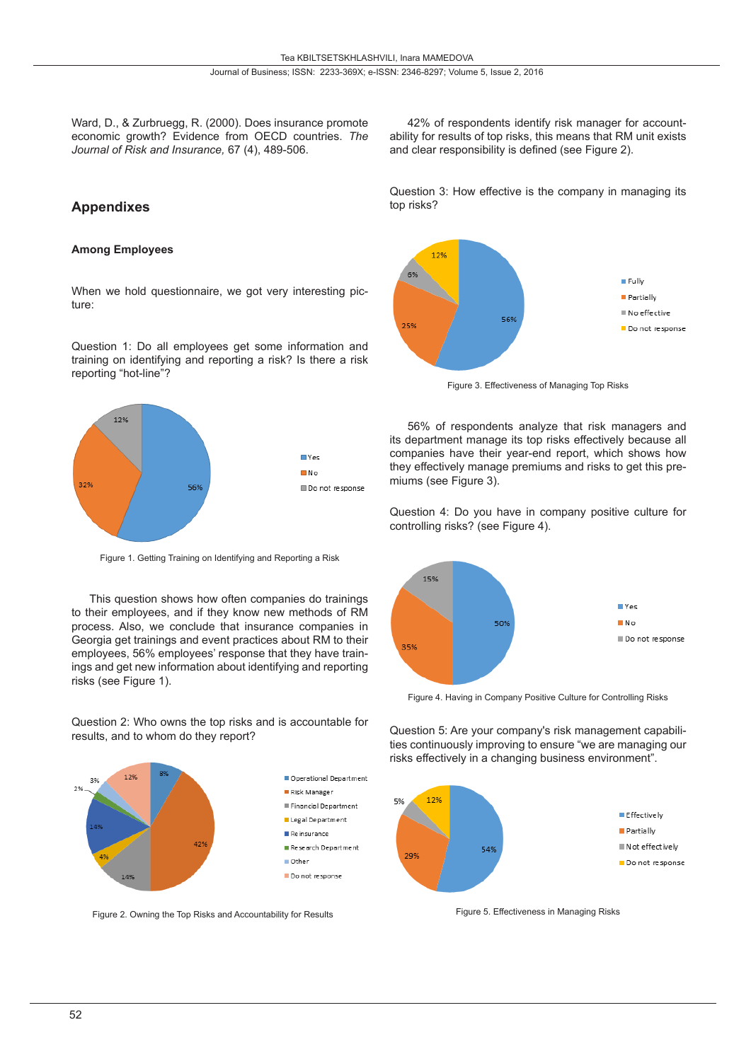Ward, D., & Zurbruegg, R. (2000). Does insurance promote economic growth? Evidence from OECD countries. *The Journal of Risk and Insurance,* 67 (4), 489-506.

### **Appendixes**

#### **Among Employees**

When we hold questionnaire, we got very interesting picture:

Question 1: Do all employees get some information and training on identifying and reporting a risk? Is there a risk reporting "hot-line"?



Figure 1. Getting Training on Identifying and Reporting a Risk

This question shows how often companies do trainings to their employees, and if they know new methods of RM process. Also, we conclude that insurance companies in Georgia get trainings and event practices about RM to their employees, 56% employees' response that they have trainings and get new information about identifying and reporting risks (see Figure 1).

Question 2: Who owns the top risks and is accountable for results, and to whom do they report?



Figure 2. Owning the Top Risks and Accountability for Results

42% of respondents identify risk manager for accountability for results of top risks, this means that RM unit exists and clear responsibility is defined (see Figure 2).

Question 3: How effective is the company in managing its top risks?



Figure 3. Effectiveness of Managing Top Risks

56% of respondents analyze that risk managers and its department manage its top risks effectively because all companies have their year-end report, which shows how they effectively manage premiums and risks to get this premiums (see Figure 3).

Question 4: Do you have in company positive culture for controlling risks? (see Figure 4).



Figure 4. Having in Company Positive Culture for Controlling Risks

Question 5: Are your company's risk management capabilities continuously improving to ensure "we are managing our risks effectively in a changing business environment".



Figure 5. Effectiveness in Managing Risks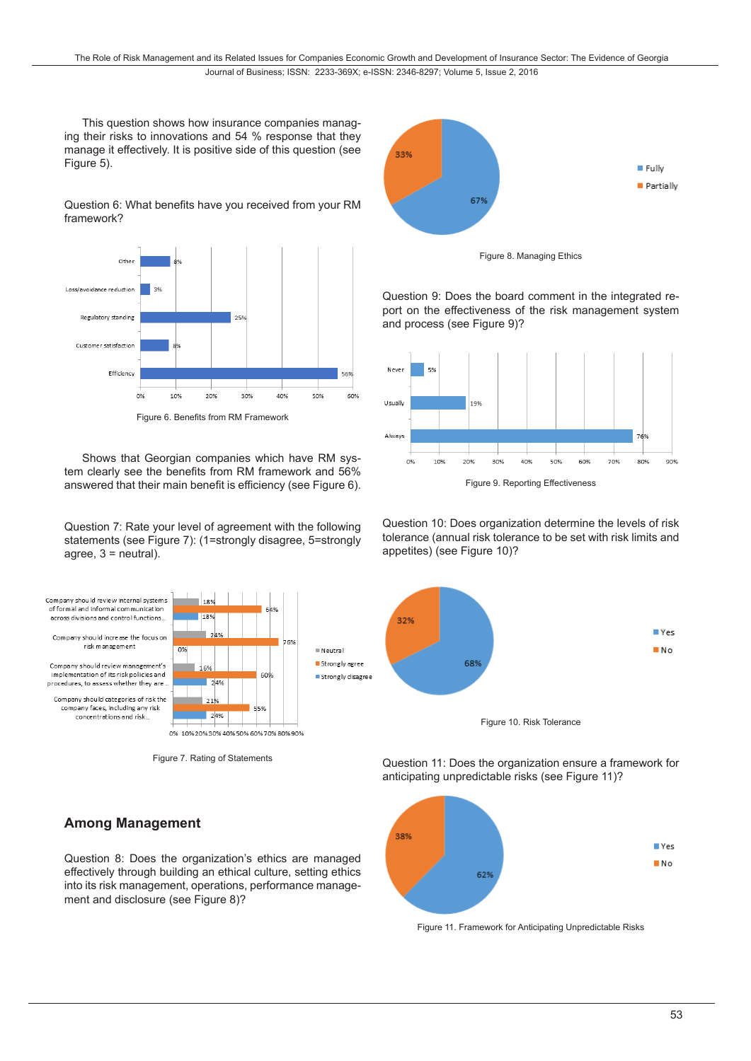This question shows how insurance companies managing their risks to innovations and 54 % response that they manage it effectively. It is positive side of this question (see Figure 5).

Question 6: What benefits have you received from your RM framework?



Figure 6. Benefits from RM Framework

Shows that Georgian companies which have RM system clearly see the benefits from RM framework and 56% answered that their main benefit is efficiency (see Figure 6).

Question 7: Rate your level of agreement with the following statements (see Figure 7): (1=strongly disagree, 5=strongly agree,  $3$  = neutral).



Figure 7. Rating of Statements

### **Among Management**

Question 8: Does the organization's ethics are managed effectively through building an ethical culture, setting ethics into its risk management, operations, performance management and disclosure (see Figure 8)?



Figure 8. Managing Ethics

Question 9: Does the board comment in the integrated report on the effectiveness of the risk management system and process (see Figure 9)?



Figure 9. Reporting Effectiveness

Question 10: Does organization determine the levels of risk tolerance (annual risk tolerance to be set with risk limits and appetites) (see Figure 10)?



Question 11: Does the organization ensure a framework for anticipating unpredictable risks (see Figure 11)?



Figure 11. Framework for Anticipating Unpredictable Risks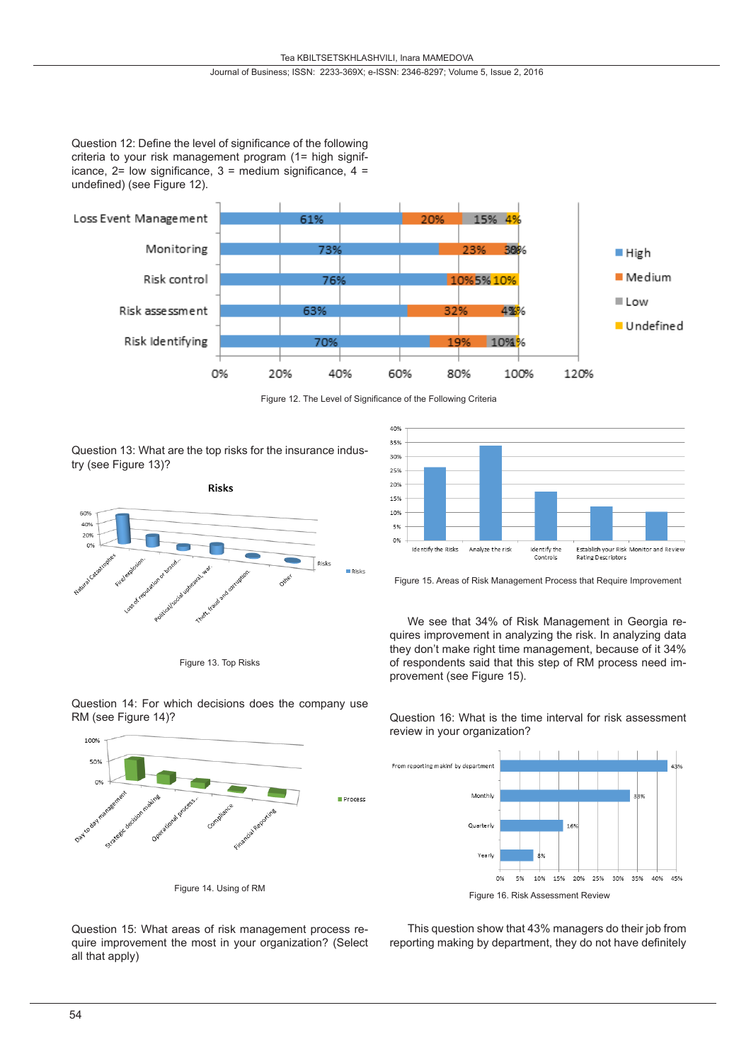#### Journal of Business; ISSN: 2233-369X; e-ISSN: 2346-8297; Volume 5, Issue 2, 2016

Question 12: Define the level of significance of the following criteria to your risk management program (1= high significance,  $2=$  low significance,  $3=$  medium significance,  $4=$ undefined) (see Figure 12).



Figure 12. The Level of Significance of the Following Criteria

Process

Question 13: What are the top risks for the insurance industry (see Figure 13)?



Figure 13. Top Risks



Figure 15. Areas of Risk Management Process that Require Improvement

We see that 34% of Risk Management in Georgia requires improvement in analyzing the risk. In analyzing data they don't make right time management, because of it 34% of respondents said that this step of RM process need improvement (see Figure 15).

Question 16: What is the time interval for risk assessment review in your organization?



Figure 16. Risk Assessment Review

Question 15: What areas of risk management process require improvement the most in your organization? (Select all that apply)

Figure 14. Using of RM

This question show that 43% managers do their job from reporting making by department, they do not have definitely

Question 14: For which decisions does the company use RM (see Figure 14)?

100% 50%